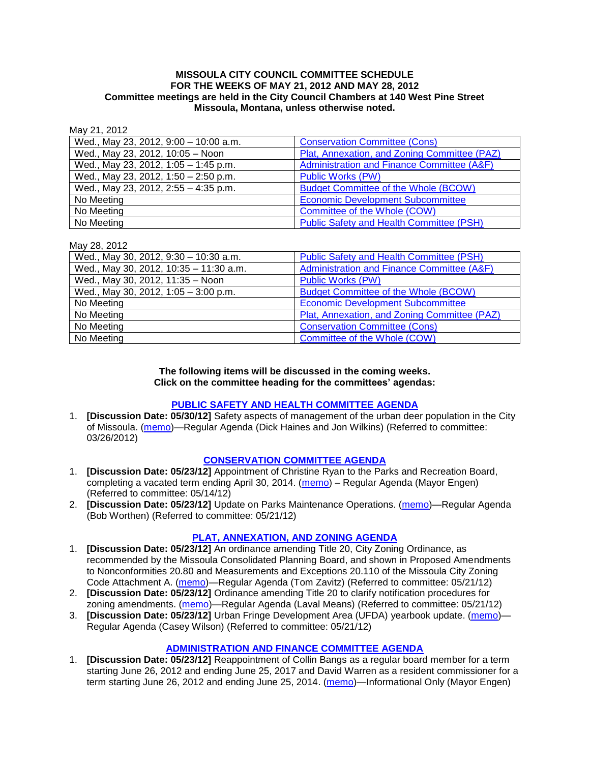#### **MISSOULA CITY COUNCIL COMMITTEE SCHEDULE FOR THE WEEKS OF MAY 21, 2012 AND MAY 28, 2012 Committee meetings are held in the City Council Chambers at 140 West Pine Street Missoula, Montana, unless otherwise noted.**

May 21, 2012

| .                                     |                                                 |
|---------------------------------------|-------------------------------------------------|
| Wed., May 23, 2012, 9:00 - 10:00 a.m. | <b>Conservation Committee (Cons)</b>            |
| Wed., May 23, 2012, 10:05 - Noon      | Plat, Annexation, and Zoning Committee (PAZ)    |
| Wed., May 23, 2012, 1:05 - 1:45 p.m.  | Administration and Finance Committee (A&F)      |
| Wed., May 23, 2012, 1:50 - 2:50 p.m.  | <b>Public Works (PW)</b>                        |
| Wed., May 23, 2012, 2:55 - 4:35 p.m.  | <b>Budget Committee of the Whole (BCOW)</b>     |
| No Meeting                            | <b>Economic Development Subcommittee</b>        |
| No Meeting                            | Committee of the Whole (COW)                    |
| No Meeting                            | <b>Public Safety and Health Committee (PSH)</b> |

May 28, 2012

| $11101 + 1011 - 111$                   |                                                 |
|----------------------------------------|-------------------------------------------------|
| Wed., May 30, 2012, 9:30 - 10:30 a.m.  | <b>Public Safety and Health Committee (PSH)</b> |
| Wed., May 30, 2012, 10:35 - 11:30 a.m. | Administration and Finance Committee (A&F)      |
| Wed., May 30, 2012, 11:35 - Noon       | <b>Public Works (PW)</b>                        |
| Wed., May 30, 2012, 1:05 - 3:00 p.m.   | <b>Budget Committee of the Whole (BCOW)</b>     |
| No Meeting                             | <b>Economic Development Subcommittee</b>        |
| No Meeting                             | Plat, Annexation, and Zoning Committee (PAZ)    |
| No Meeting                             | <b>Conservation Committee (Cons)</b>            |
| No Meeting                             | Committee of the Whole (COW)                    |

#### **The following items will be discussed in the coming weeks. Click on the committee heading for the committees' agendas:**

## **[PUBLIC SAFETY AND HEALTH COMMITTEE](http://www.ci.missoula.mt.us/DocumentCenterii.aspx?FID=836) AGENDA**

1. **[Discussion Date: 05/30/12]** Safety aspects of management of the urban deer population in the City of Missoula. [\(memo\)](http://www.ci.missoula.mt.us/DocumentView.aspx?DID=8528)—Regular Agenda (Dick Haines and Jon Wilkins) (Referred to committee: 03/26/2012)

## **[CONSERVATION COMMITTEE AGENDA](http://www.ci.missoula.mt.us/DocumentCenterii.aspx?FID=832)**

- 1. **[Discussion Date: 05/23/12]** Appointment of Christine Ryan to the Parks and Recreation Board, completing a vacated term ending April 30, 2014. [\(memo\)](http://www.ci.missoula.mt.us/DocumentCenter/Home/View/19493) – Regular Agenda (Mayor Engen) (Referred to committee: 05/14/12)
- 2. **[Discussion Date: 05/23/12]** Update on Parks Maintenance Operations. [\(memo\)](http://www.ci.missoula.mt.us/DocumentCenter/Home/View/19648)—Regular Agenda (Bob Worthen) (Referred to committee: 05/21/12)

## **[PLAT, ANNEXATION, AND ZONING AGENDA](http://www.ci.missoula.mt.us/DocumentCenterii.aspx?FID=831)**

- 1. **[Discussion Date: 05/23/12]** An ordinance amending Title 20, City Zoning Ordinance, as recommended by the Missoula Consolidated Planning Board, and shown in Proposed Amendments to Nonconformities 20.80 and Measurements and Exceptions 20.110 of the Missoula City Zoning Code Attachment A. [\(memo\)](http://www.ci.missoula.mt.us/DocumentCenter/Home/View/19667)—Regular Agenda (Tom Zavitz) (Referred to committee: 05/21/12)
- 2. **[Discussion Date: 05/23/12]** Ordinance amending Title 20 to clarify notification procedures for zoning amendments. [\(memo\)](http://www.ci.missoula.mt.us/DocumentCenter/Home/View/19668)—Regular Agenda (Laval Means) (Referred to committee: 05/21/12)
- 3. **[Discussion Date: 05/23/12]** Urban Fringe Development Area (UFDA) yearbook update. [\(memo\)](http://www.ci.missoula.mt.us/DocumentCenter/Home/View/19673) Regular Agenda (Casey Wilson) (Referred to committee: 05/21/12)

## **[ADMINISTRATION AND FINANCE COMMITTEE AGENDA](http://www.ci.missoula.mt.us/DocumentCenterii.aspx?FID=830)**

1. **[Discussion Date: 05/23/12]** Reappointment of Collin Bangs as a regular board member for a term starting June 26, 2012 and ending June 25, 2017 and David Warren as a resident commissioner for a term starting June 26, 2012 and ending June 25, 2014. [\(memo\)](http://www.ci.missoula.mt.us/DocumentCenter/Home/View/19647)—Informational Only (Mayor Engen)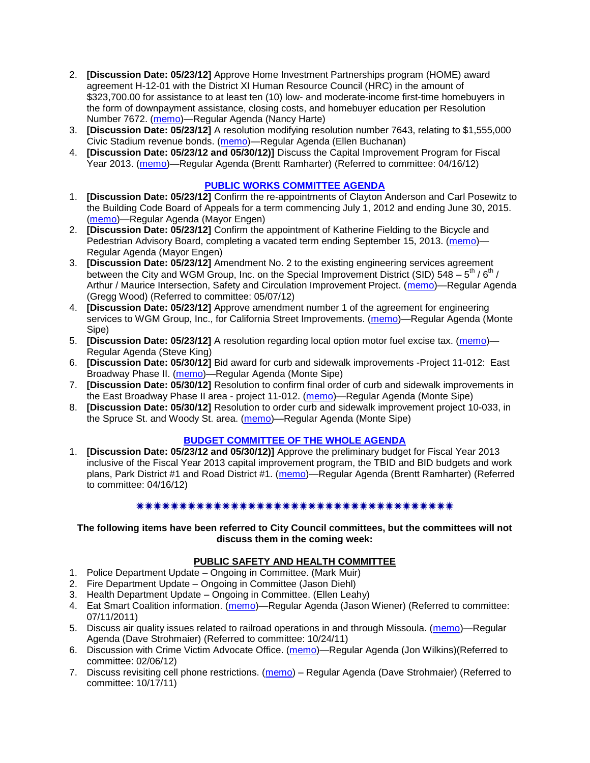- 2. **[Discussion Date: 05/23/12]** Approve Home Investment Partnerships program (HOME) award agreement H-12-01 with the District XI Human Resource Council (HRC) in the amount of \$323,700.00 for assistance to at least ten (10) low- and moderate-income first-time homebuyers in the form of downpayment assistance, closing costs, and homebuyer education per Resolution Number 7672. [\(memo\)](http://www.ci.missoula.mt.us/DocumentCenter/Home/View/19646)—Regular Agenda (Nancy Harte)
- 3. **[Discussion Date: 05/23/12]** A resolution modifying resolution number 7643, relating to \$1,555,000 Civic Stadium revenue bonds. [\(memo\)](http://www.ci.missoula.mt.us/DocumentCenter/Home/View/19645)—Regular Agenda (Ellen Buchanan)
- 4. **[Discussion Date: 05/23/12 and 05/30/12)]** Discuss the Capital Improvement Program for Fiscal Year 2013. [\(memo\)](http://www.ci.missoula.mt.us/DocumentCenter/Home/View/18840)—Regular Agenda (Brentt Ramharter) (Referred to committee: 04/16/12)

## **[PUBLIC WORKS COMMITTEE AGENDA](http://www.ci.missoula.mt.us/DocumentCenterii.aspx?FID=833)**

- 1. **[Discussion Date: 05/23/12]** Confirm the re-appointments of Clayton Anderson and Carl Posewitz to the Building Code Board of Appeals for a term commencing July 1, 2012 and ending June 30, 2015. [\(memo\)](http://www.ci.missoula.mt.us/DocumentCenter/Home/View/19657)—Regular Agenda (Mayor Engen)
- 2. **[Discussion Date: 05/23/12]** Confirm the appointment of Katherine Fielding to the Bicycle and Pedestrian Advisory Board, completing a vacated term ending September 15, 2013. [\(memo\)](http://www.ci.missoula.mt.us/DocumentCenter/Home/View/19656)— Regular Agenda (Mayor Engen)
- 3. **[Discussion Date: 05/23/12]** Amendment No. 2 to the existing engineering services agreement between the City and WGM Group, Inc. on the Special Improvement District (SID) 548  $-$  5<sup>th</sup> / 6<sup>th</sup> / Arthur / Maurice Intersection, Safety and Circulation Improvement Project. [\(memo\)](http://www.ci.missoula.mt.us/DocumentCenter/Home/View/19386)—Regular Agenda (Gregg Wood) (Referred to committee: 05/07/12)
- 4. **[Discussion Date: 05/23/12]** Approve amendment number 1 of the agreement for engineering services to WGM Group, Inc., for California Street Improvements. [\(memo\)](http://www.ci.missoula.mt.us/DocumentCenter/Home/View/19658)—Regular Agenda (Monte Sipe)
- 5. **[Discussion Date: 05/23/12]** A resolution regarding local option motor fuel excise tax. [\(memo\)](http://www.ci.missoula.mt.us/DocumentCenter/Home/View/19661) Regular Agenda (Steve King)
- 6. **[Discussion Date: 05/30/12]** Bid award for curb and sidewalk improvements -Project 11-012: East Broadway Phase II. [\(memo\)](http://www.ci.missoula.mt.us/DocumentCenter/Home/View/19655)—Regular Agenda (Monte Sipe)
- 7. **[Discussion Date: 05/30/12]** Resolution to confirm final order of curb and sidewalk improvements in the East Broadway Phase II area - project 11-012. [\(memo\)](http://www.ci.missoula.mt.us/DocumentCenter/Home/View/19659)—Regular Agenda (Monte Sipe)
- 8. **[Discussion Date: 05/30/12]** Resolution to order curb and sidewalk improvement project 10-033, in the Spruce St. and Woody St. area. [\(memo\)](http://www.ci.missoula.mt.us/DocumentCenter/Home/View/19662)—Regular Agenda (Monte Sipe)

## **[BUDGET COMMITTEE OF THE WHOLE AGENDA](http://www.ci.missoula.mt.us/DocumentCenterii.aspx?FID=835)**

1. **[Discussion Date: 05/23/12 and 05/30/12)]** Approve the preliminary budget for Fiscal Year 2013 inclusive of the Fiscal Year 2013 capital improvement program, the TBID and BID budgets and work plans, Park District #1 and Road District #1. [\(memo\)](http://www.ci.missoula.mt.us/DocumentCenter/Home/View/18842)—Regular Agenda (Brentt Ramharter) (Referred to committee: 04/16/12)

## 

#### **The following items have been referred to City Council committees, but the committees will not discuss them in the coming week:**

## **PUBLIC SAFETY AND HEALTH COMMITTEE**

- 1. Police Department Update Ongoing in Committee. (Mark Muir)
- 2. Fire Department Update Ongoing in Committee (Jason Diehl)
- 3. Health Department Update Ongoing in Committee. (Ellen Leahy)
- 4. Eat Smart Coalition information. [\(memo\)](http://www.ci.missoula.mt.us/DocumentView.aspx?DID=6776)—Regular Agenda (Jason Wiener) (Referred to committee: 07/11/2011)
- 5. Discuss air quality issues related to railroad operations in and through Missoula. [\(memo\)](http://www.ci.missoula.mt.us/DocumentView.aspx?DID=7495)—Regular Agenda (Dave Strohmaier) (Referred to committee: 10/24/11)
- 6. Discussion with Crime Victim Advocate Office. [\(memo\)](http://www.ci.missoula.mt.us/DocumentView.aspx?DID=8109)—Regular Agenda (Jon Wilkins)(Referred to committee: 02/06/12)
- 7. Discuss revisiting cell phone restrictions. [\(memo\)](http://www.ci.missoula.mt.us/DocumentView.aspx?DID=7420) Regular Agenda (Dave Strohmaier) (Referred to committee: 10/17/11)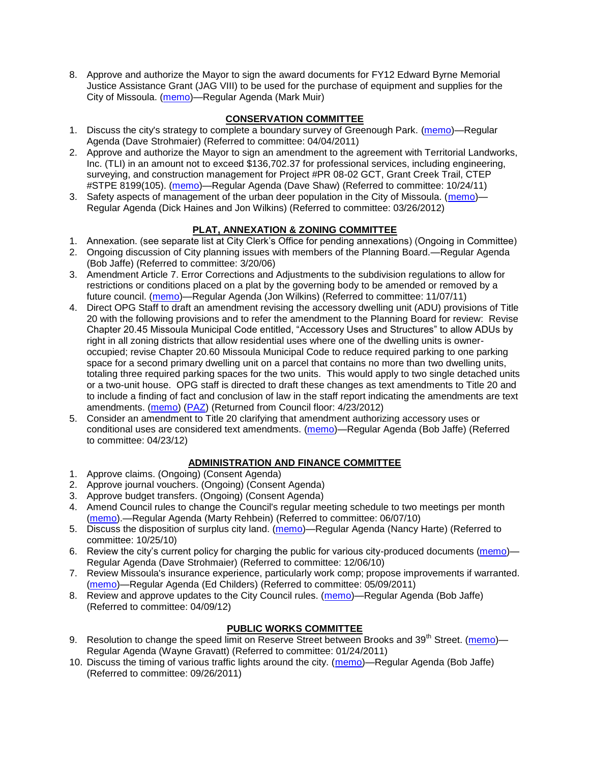8. Approve and authorize the Mayor to sign the award documents for FY12 Edward Byrne Memorial Justice Assistance Grant (JAG VIII) to be used for the purchase of equipment and supplies for the City of Missoula. [\(memo\)](http://www.ci.missoula.mt.us/DocumentCenter/Home/View/19670)—Regular Agenda (Mark Muir)

# **CONSERVATION COMMITTEE**

- 1. Discuss the city's strategy to complete a boundary survey of Greenough Park. [\(memo\)](http://www.ci.missoula.mt.us/DocumentView.aspx?DID=5875)—Regular Agenda (Dave Strohmaier) (Referred to committee: 04/04/2011)
- 2. Approve and authorize the Mayor to sign an amendment to the agreement with Territorial Landworks, Inc. (TLI) in an amount not to exceed \$136,702.37 for professional services, including engineering, surveying, and construction management for Project #PR 08-02 GCT, Grant Creek Trail, CTEP #STPE 8199(105). [\(memo\)](http://www.ci.missoula.mt.us/DocumentView.aspx?DID=7494)—Regular Agenda (Dave Shaw) (Referred to committee: 10/24/11)
- 3. Safety aspects of management of the urban deer population in the City of Missoula. [\(memo\)](http://www.ci.missoula.mt.us/DocumentView.aspx?DID=8528) Regular Agenda (Dick Haines and Jon Wilkins) (Referred to committee: 03/26/2012)

# **PLAT, ANNEXATION & ZONING COMMITTEE**

- 1. Annexation. (see separate list at City Clerk's Office for pending annexations) (Ongoing in Committee)
- 2. Ongoing discussion of City planning issues with members of the Planning Board.—Regular Agenda (Bob Jaffe) (Referred to committee: 3/20/06)
- 3. Amendment Article 7. Error Corrections and Adjustments to the subdivision regulations to allow for restrictions or conditions placed on a plat by the governing body to be amended or removed by a future council. [\(memo\)](http://www.ci.missoula.mt.us/DocumentView.aspx?DID=7568)—Regular Agenda (Jon Wilkins) (Referred to committee: 11/07/11)
- 4. Direct OPG Staff to draft an amendment revising the accessory dwelling unit (ADU) provisions of Title 20 with the following provisions and to refer the amendment to the Planning Board for review: Revise Chapter 20.45 Missoula Municipal Code entitled, "Accessory Uses and Structures" to allow ADUs by right in all zoning districts that allow residential uses where one of the dwelling units is owneroccupied; revise Chapter 20.60 Missoula Municipal Code to reduce required parking to one parking space for a second primary dwelling unit on a parcel that contains no more than two dwelling units, totaling three required parking spaces for the two units. This would apply to two single detached units or a two-unit house. OPG staff is directed to draft these changes as text amendments to Title 20 and to include a finding of fact and conclusion of law in the staff report indicating the amendments are text amendments. [\(memo\)](http://www.ci.missoula.mt.us/DocumentView.aspx?DID=8421) [\(PAZ\)](http://www.ci.missoula.mt.us/Archive.aspx?ADID=5370) (Returned from Council floor: 4/23/2012)
- 5. Consider an amendment to Title 20 clarifying that amendment authorizing accessory uses or conditional uses are considered text amendments. [\(memo\)](http://www.ci.missoula.mt.us/DocumentCenter/Home/View/19059)—Regular Agenda (Bob Jaffe) (Referred to committee: 04/23/12)

## **ADMINISTRATION AND FINANCE COMMITTEE**

- 1. Approve claims. (Ongoing) (Consent Agenda)
- 2. Approve journal vouchers. (Ongoing) (Consent Agenda)
- 3. Approve budget transfers. (Ongoing) (Consent Agenda)
- 4. Amend Council rules to change the Council's regular meeting schedule to two meetings per month [\(memo\)](http://www.ci.missoula.mt.us/DocumentView.aspx?DID=4027).—Regular Agenda (Marty Rehbein) (Referred to committee: 06/07/10)
- 5. Discuss the disposition of surplus city land. [\(memo\)](http://www.ci.missoula.mt.us/DocumentView.aspx?DID=4862)—Regular Agenda (Nancy Harte) (Referred to committee: 10/25/10)
- 6. Review the city's current policy for charging the public for various city-produced documents [\(memo\)](http://www.ci.missoula.mt.us/DocumentView.aspx?DID=5143) Regular Agenda (Dave Strohmaier) (Referred to committee: 12/06/10)
- 7. Review Missoula's insurance experience, particularly work comp; propose improvements if warranted. [\(memo\)](http://www.ci.missoula.mt.us/DocumentView.aspx?DID=6381)—Regular Agenda (Ed Childers) (Referred to committee: 05/09/2011)
- 8. Review and approve updates to the City Council rules. [\(memo\)](http://www.ci.missoula.mt.us/DocumentCenter/Home/View/18722)—Regular Agenda (Bob Jaffe) (Referred to committee: 04/09/12)

## **PUBLIC WORKS COMMITTEE**

- 9. Resolution to change the speed limit on Reserve Street between Brooks and 39<sup>th</sup> Street. [\(memo\)](http://www.ci.missoula.mt.us/DocumentView.aspx?DID=5418) Regular Agenda (Wayne Gravatt) (Referred to committee: 01/24/2011)
- 10. Discuss the timing of various traffic lights around the city. [\(memo\)](http://www.ci.missoula.mt.us/DocumentView.aspx?DID=7322)—Regular Agenda (Bob Jaffe) (Referred to committee: 09/26/2011)